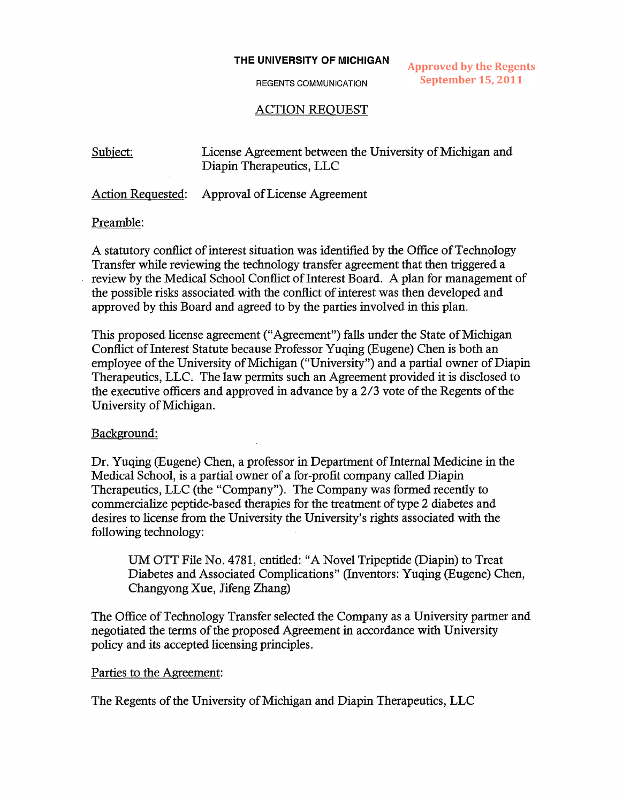#### **THE UNIVERSITY OF MICHIGAN**

REGENTS COMMUNICATION

**Approved by the Regents September 15, 2011**

# ACTION REQUEST

Subject: License Agreement between the University of Michigan and Diapin Therapeutics, LLC

Action Requested: Approval of License Agreement

#### Preamble:

A statutory conflict of interest situation was identified by the Office of Technology Transfer while reviewing the technology transfer agreement that then triggered a review by the Medical School Conflict of Interest Board. A plan for management of the possible risks associated with the conflict of interest was then developed and approved by this Board and agreed to by the parties involved in this plan.

This proposed license agreement ("Agreement") falls under the State of Michigan Conflict of Interest Statute because Professor Yuqing (Eugene) Chen is both an employee of the University of Michigan ("University") and a partial owner of Diapin Therapeutics, LLC. The law permits such an Agreement provided it is disclosed to the executive officers and approved in advance by a 2/3 vote of the Regents of the University of Michigan.

## Background:

Dr. Yuqing (Eugene) Chen, a professor in Department of Internal Medicine in the Medical School, is a partial owner of a for-profit company called Diapin Therapeutics, LLC (the "Company"). The Company was formed recently to commercialize peptide-based therapies for the treatment of type 2 diabetes and desires to license from the University the University's rights associated with the following technology:

UM OTT File No. 4781, entitled: "A Novel Tripeptide (Diapin) to Treat Diabetes and Associated Complications" (Inventors: Yuqing (Eugene) Chen, Changyong Xue, Jifeng Zhang)

The Office of Technology Transfer selected the Company as a University partner and negotiated the terms of the proposed Agreement in accordance with University policy and its accepted licensing principles.

#### Parties to the Agreement:

The Regents of the University of Michigan and Diapin Therapeutics, LLC